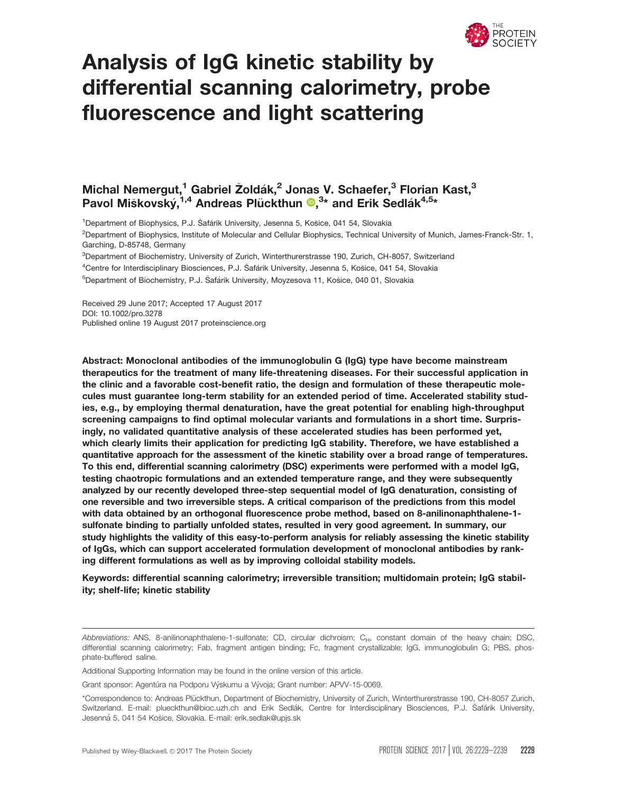

# Analysis of IgG kinetic stability by differential scanning calorimetry, probe fluorescence and light scattering

## Michal Nemergut,<sup>1</sup> Gabriel Žoldák,<sup>2</sup> Jonas V. Schaefer,<sup>3</sup> Florian Kast,<sup>3</sup> Pavol Miškovský,<sup>1,4</sup> Andreas Plückthun ®,<sup>3</sup>\* and Erik Sedlák<sup>4,5</sup>\*

<sup>1</sup>Department of Biophysics, P.J. Šafárik University, Jesenna 5, Košice, 041 54, Slovakia

<sup>2</sup>Department of Biophysics, Institute of Molecular and Cellular Biophysics, Technical University of Munich, James-Franck-Str. 1, Garching, D-85748, Germany

3 Department of Biochemistry, University of Zurich, Winterthurerstrasse 190, Zurich, CH-8057, Switzerland

<sup>4</sup>Centre for Interdisciplinary Biosciences, P.J. Šafárik University, Jesenna 5, Košice, 041 54, Slovakia

<sup>5</sup>Department of Biochemistry, P.J. Šafárik University, Moyzesova 11, Košice, 040 01, Slovakia

Received 29 June 2017; Accepted 17 August 2017 DOI: 10.1002/pro.3278 Published online 19 August 2017 proteinscience.org

Abstract: Monoclonal antibodies of the immunoglobulin G (IgG) type have become mainstream therapeutics for the treatment of many life-threatening diseases. For their successful application in the clinic and a favorable cost-benefit ratio, the design and formulation of these therapeutic molecules must guarantee long-term stability for an extended period of time. Accelerated stability studies, e.g., by employing thermal denaturation, have the great potential for enabling high-throughput screening campaigns to find optimal molecular variants and formulations in a short time. Surprisingly, no validated quantitative analysis of these accelerated studies has been performed yet, which clearly limits their application for predicting IgG stability. Therefore, we have established a quantitative approach for the assessment of the kinetic stability over a broad range of temperatures. To this end, differential scanning calorimetry (DSC) experiments were performed with a model IgG, testing chaotropic formulations and an extended temperature range, and they were subsequently analyzed by our recently developed three-step sequential model of IgG denaturation, consisting of one reversible and two irreversible steps. A critical comparison of the predictions from this model with data obtained by an orthogonal fluorescence probe method, based on 8-anilinonaphthalene-1 sulfonate binding to partially unfolded states, resulted in very good agreement. In summary, our study highlights the validity of this easy-to-perform analysis for reliably assessing the kinetic stability of IgGs, which can support accelerated formulation development of monoclonal antibodies by ranking different formulations as well as by improving colloidal stability models.

Keywords: differential scanning calorimetry; irreversible transition; multidomain protein; IgG stability; shelf-life; kinetic stability

Grant sponsor: Agentúra na Podporu Výskumu a Vývoja; Grant number: APVV-15-0069.

Abbreviations: ANS, 8-anilinonaphthalene-1-sulfonate; CD, circular dichroism; C<sub>H</sub>, constant domain of the heavy chain; DSC, differential scanning calorimetry; Fab, fragment antigen binding; Fc, fragment crystallizable; IgG, immunoglobulin G; PBS, phosphate-buffered saline.

Additional Supporting Information may be found in the online version of this article.

<sup>\*</sup>Correspondence to: Andreas Pluckthun, Department of Biochemistry, University of Zurich, Winterthurerstrasse 190, CH-8057 Zurich, € Switzerland. E-mail: plueckthun@bioc.uzh.ch and Erik Sedlák, Centre for Interdisciplinary Biosciences, P.J. Šafárik University, Jesenná 5, 041 54 Košice, Slovakia. E-mail: erik.sedlak@upjs.sk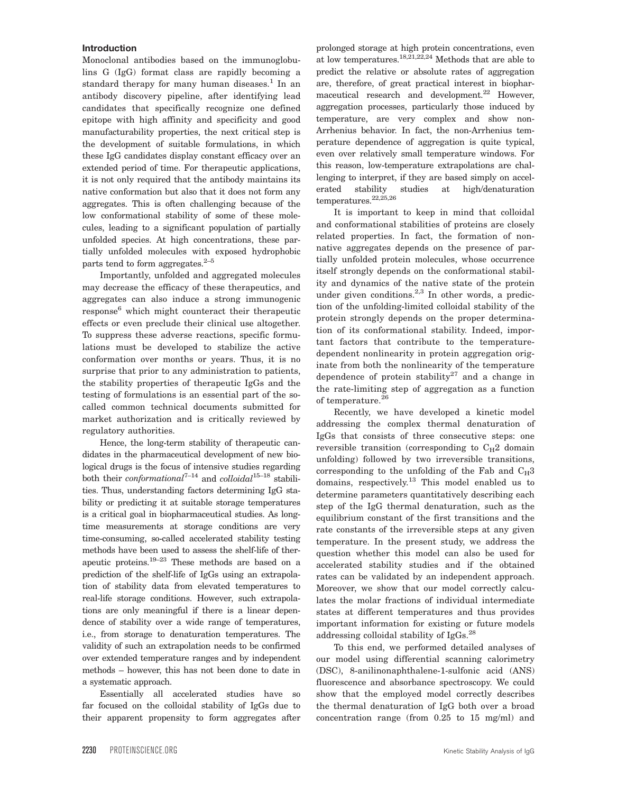## Introduction

Monoclonal antibodies based on the immunoglobulins G (IgG) format class are rapidly becoming a standard therapy for many human diseases.<sup>1</sup> In an antibody discovery pipeline, after identifying lead candidates that specifically recognize one defined epitope with high affinity and specificity and good manufacturability properties, the next critical step is the development of suitable formulations, in which these IgG candidates display constant efficacy over an extended period of time. For therapeutic applications, it is not only required that the antibody maintains its native conformation but also that it does not form any aggregates. This is often challenging because of the low conformational stability of some of these molecules, leading to a significant population of partially unfolded species. At high concentrations, these partially unfolded molecules with exposed hydrophobic parts tend to form aggregates. $2-5$ 

Importantly, unfolded and aggregated molecules may decrease the efficacy of these therapeutics, and aggregates can also induce a strong immunogenic response<sup>6</sup> which might counteract their therapeutic effects or even preclude their clinical use altogether. To suppress these adverse reactions, specific formulations must be developed to stabilize the active conformation over months or years. Thus, it is no surprise that prior to any administration to patients, the stability properties of therapeutic IgGs and the testing of formulations is an essential part of the socalled common technical documents submitted for market authorization and is critically reviewed by regulatory authorities.

Hence, the long-term stability of therapeutic candidates in the pharmaceutical development of new biological drugs is the focus of intensive studies regarding both their *conformational*<sup>7-14</sup> and *colloidal*<sup>15-18</sup> stabilities. Thus, understanding factors determining IgG stability or predicting it at suitable storage temperatures is a critical goal in biopharmaceutical studies. As longtime measurements at storage conditions are very time-consuming, so-called accelerated stability testing methods have been used to assess the shelf-life of therapeutic proteins.19–23 These methods are based on a prediction of the shelf-life of IgGs using an extrapolation of stability data from elevated temperatures to real-life storage conditions. However, such extrapolations are only meaningful if there is a linear dependence of stability over a wide range of temperatures, i.e., from storage to denaturation temperatures. The validity of such an extrapolation needs to be confirmed over extended temperature ranges and by independent methods – however, this has not been done to date in a systematic approach.

Essentially all accelerated studies have so far focused on the colloidal stability of IgGs due to their apparent propensity to form aggregates after

prolonged storage at high protein concentrations, even at low temperatures.<sup>18,21,22,24</sup> Methods that are able to predict the relative or absolute rates of aggregation are, therefore, of great practical interest in biopharmaceutical research and development.<sup>22</sup> However, aggregation processes, particularly those induced by temperature, are very complex and show non-Arrhenius behavior. In fact, the non-Arrhenius temperature dependence of aggregation is quite typical, even over relatively small temperature windows. For this reason, low-temperature extrapolations are challenging to interpret, if they are based simply on accelerated stability studies at high/denaturation temperatures.<sup>22,25,26</sup>

It is important to keep in mind that colloidal and conformational stabilities of proteins are closely related properties. In fact, the formation of nonnative aggregates depends on the presence of partially unfolded protein molecules, whose occurrence itself strongly depends on the conformational stability and dynamics of the native state of the protein under given conditions. $^{2,3}$  In other words, a prediction of the unfolding-limited colloidal stability of the protein strongly depends on the proper determination of its conformational stability. Indeed, important factors that contribute to the temperaturedependent nonlinearity in protein aggregation originate from both the nonlinearity of the temperature dependence of protein stability<sup>27</sup> and a change in the rate-limiting step of aggregation as a function of temperature.<sup>26</sup>

Recently, we have developed a kinetic model addressing the complex thermal denaturation of IgGs that consists of three consecutive steps: one reversible transition (corresponding to  $C_H2$  domain unfolding) followed by two irreversible transitions, corresponding to the unfolding of the Fab and  $C_H3$ domains, respectively.<sup>13</sup> This model enabled us to determine parameters quantitatively describing each step of the IgG thermal denaturation, such as the equilibrium constant of the first transitions and the rate constants of the irreversible steps at any given temperature. In the present study, we address the question whether this model can also be used for accelerated stability studies and if the obtained rates can be validated by an independent approach. Moreover, we show that our model correctly calculates the molar fractions of individual intermediate states at different temperatures and thus provides important information for existing or future models addressing colloidal stability of IgGs.<sup>28</sup>

To this end, we performed detailed analyses of our model using differential scanning calorimetry (DSC), 8-anilinonaphthalene-1-sulfonic acid (ANS) fluorescence and absorbance spectroscopy. We could show that the employed model correctly describes the thermal denaturation of IgG both over a broad concentration range (from 0.25 to 15 mg/ml) and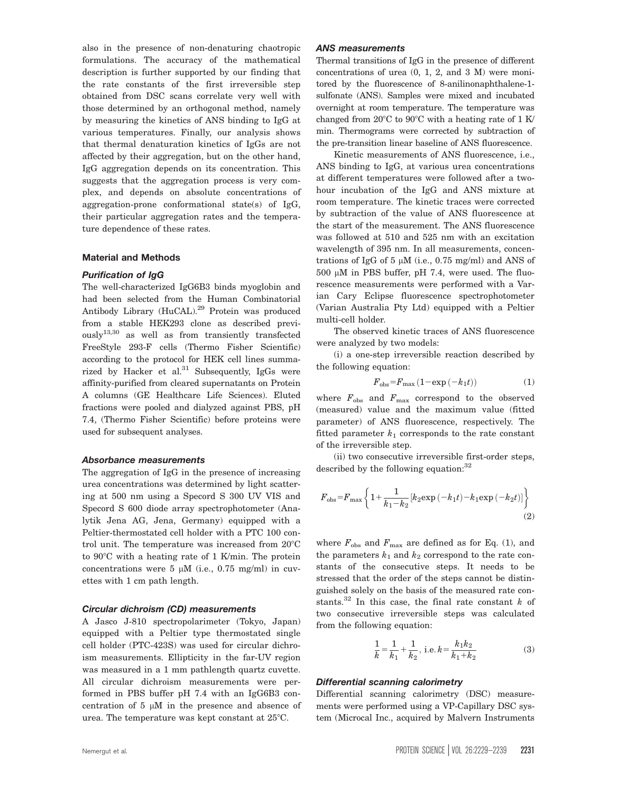also in the presence of non-denaturing chaotropic formulations. The accuracy of the mathematical description is further supported by our finding that the rate constants of the first irreversible step obtained from DSC scans correlate very well with those determined by an orthogonal method, namely by measuring the kinetics of ANS binding to IgG at various temperatures. Finally, our analysis shows that thermal denaturation kinetics of IgGs are not affected by their aggregation, but on the other hand, IgG aggregation depends on its concentration. This suggests that the aggregation process is very complex, and depends on absolute concentrations of aggregation-prone conformational state(s) of IgG, their particular aggregation rates and the temperature dependence of these rates.

## Material and Methods

## Purification of IgG

The well-characterized IgG6B3 binds myoglobin and had been selected from the Human Combinatorial Antibody Library (HuCAL).<sup>29</sup> Protein was produced from a stable HEK293 clone as described previously13,30 as well as from transiently transfected FreeStyle 293-F cells (Thermo Fisher Scientific) according to the protocol for HEK cell lines summarized by Hacker et al. $31$  Subsequently, IgGs were affinity-purified from cleared supernatants on Protein A columns (GE Healthcare Life Sciences). Eluted fractions were pooled and dialyzed against PBS, pH 7.4, (Thermo Fisher Scientific) before proteins were used for subsequent analyses.

#### Absorbance measurements

The aggregation of IgG in the presence of increasing urea concentrations was determined by light scattering at 500 nm using a Specord S 300 UV VIS and Specord S 600 diode array spectrophotometer (Analytik Jena AG, Jena, Germany) equipped with a Peltier-thermostated cell holder with a PTC 100 control unit. The temperature was increased from  $20^{\circ}$ C to  $90^{\circ}$ C with a heating rate of 1 K/min. The protein concentrations were  $5 \mu M$  (i.e., 0.75 mg/ml) in cuvettes with 1 cm path length.

#### Circular dichroism (CD) measurements

A Jasco J-810 spectropolarimeter (Tokyo, Japan) equipped with a Peltier type thermostated single cell holder (PTC-423S) was used for circular dichroism measurements. Ellipticity in the far-UV region was measured in a 1 mm pathlength quartz cuvette. All circular dichroism measurements were performed in PBS buffer pH 7.4 with an IgG6B3 concentration of  $5 \mu M$  in the presence and absence of urea. The temperature was kept constant at  $25^{\circ}$ C.

#### ANS measurements

Thermal transitions of IgG in the presence of different concentrations of urea (0, 1, 2, and 3 M) were monitored by the fluorescence of 8-anilinonaphthalene-1 sulfonate (ANS). Samples were mixed and incubated overnight at room temperature. The temperature was changed from 20 $\rm ^{\circ}C$  to 90 $\rm ^{\circ}C$  with a heating rate of 1 K/ min. Thermograms were corrected by subtraction of the pre-transition linear baseline of ANS fluorescence.

Kinetic measurements of ANS fluorescence, i.e., ANS binding to IgG, at various urea concentrations at different temperatures were followed after a twohour incubation of the IgG and ANS mixture at room temperature. The kinetic traces were corrected by subtraction of the value of ANS fluorescence at the start of the measurement. The ANS fluorescence was followed at 510 and 525 nm with an excitation wavelength of 395 nm. In all measurements, concentrations of IgG of 5  $\mu$ M (i.e., 0.75 mg/ml) and ANS of  $500 \mu M$  in PBS buffer, pH 7.4, were used. The fluorescence measurements were performed with a Varian Cary Eclipse fluorescence spectrophotometer (Varian Australia Pty Ltd) equipped with a Peltier multi-cell holder.

The observed kinetic traces of ANS fluorescence were analyzed by two models:

(i) a one-step irreversible reaction described by the following equation:

$$
F_{\rm obs} = F_{\rm max} \left( 1 - \exp\left(-k_1 t\right) \right) \tag{1}
$$

where  $F_{obs}$  and  $F_{max}$  correspond to the observed (measured) value and the maximum value (fitted parameter) of ANS fluorescence, respectively. The fitted parameter  $k_1$  corresponds to the rate constant of the irreversible step.

(ii) two consecutive irreversible first-order steps, described by the following equation:  $32$ 

$$
F_{\rm obs}\!=\!F_{\rm max}\left\{1\!+\!\frac{1}{k_1\!-\!k_2}[k_2{\rm exp}\left(-k_1t\right)\!-\!k_1{\rm exp}\left(-k_2t\right)]\right\}\tag{2}
$$

where  $F_{\text{obs}}$  and  $F_{\text{max}}$  are defined as for Eq. (1), and the parameters  $k_1$  and  $k_2$  correspond to the rate constants of the consecutive steps. It needs to be stressed that the order of the steps cannot be distinguished solely on the basis of the measured rate constants. $32$  In this case, the final rate constant k of two consecutive irreversible steps was calculated from the following equation:

$$
\frac{1}{k} = \frac{1}{k_1} + \frac{1}{k_2}, \text{ i.e. } k = \frac{k_1 k_2}{k_1 + k_2} \tag{3}
$$

## Differential scanning calorimetry

Differential scanning calorimetry (DSC) measurements were performed using a VP-Capillary DSC system (Microcal Inc., acquired by Malvern Instruments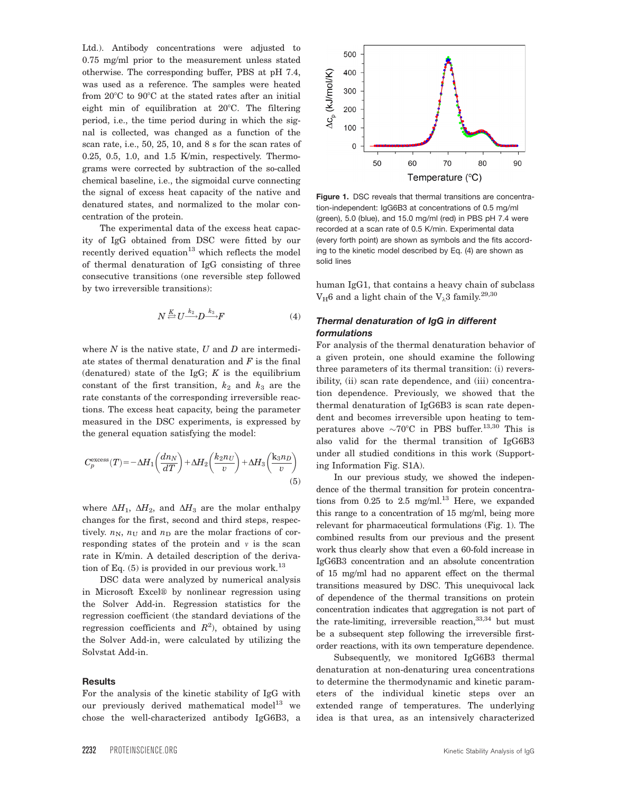Ltd.). Antibody concentrations were adjusted to 0.75 mg/ml prior to the measurement unless stated otherwise. The corresponding buffer, PBS at pH 7.4, was used as a reference. The samples were heated from  $20^{\circ}$ C to  $90^{\circ}$ C at the stated rates after an initial eight min of equilibration at  $20^{\circ}$ C. The filtering period, i.e., the time period during in which the signal is collected, was changed as a function of the scan rate, i.e., 50, 25, 10, and 8 s for the scan rates of  $0.25, 0.5, 1.0,$  and  $1.5$  K/min, respectively. Thermograms were corrected by subtraction of the so-called chemical baseline, i.e., the sigmoidal curve connecting the signal of excess heat capacity of the native and denatured states, and normalized to the molar concentration of the protein.

The experimental data of the excess heat capacity of IgG obtained from DSC were fitted by our recently derived equation $13$  which reflects the model of thermal denaturation of IgG consisting of three consecutive transitions (one reversible step followed by two irreversible transitions):

$$
N \stackrel{K}{\leftarrow} U \stackrel{k_2}{\longrightarrow} D \stackrel{k_3}{\longrightarrow} F \tag{4}
$$

where  $N$  is the native state,  $U$  and  $D$  are intermediate states of thermal denaturation and  $F$  is the final (denatured) state of the IgG;  $K$  is the equilibrium constant of the first transition,  $k_2$  and  $k_3$  are the rate constants of the corresponding irreversible reactions. The excess heat capacity, being the parameter measured in the DSC experiments, is expressed by the general equation satisfying the model:

$$
C_p^{\text{excess}}(T) = -\Delta H_1 \left(\frac{dn_N}{dT}\right) + \Delta H_2 \left(\frac{k_2 n_U}{v}\right) + \Delta H_3 \left(\frac{k_3 n_D}{v}\right) \tag{5}
$$

where  $\Delta H_1$ ,  $\Delta H_2$ , and  $\Delta H_3$  are the molar enthalpy changes for the first, second and third steps, respectively.  $n_N$ ,  $n_U$  and  $n_D$  are the molar fractions of corresponding states of the protein and  $\nu$  is the scan rate in K/min. A detailed description of the derivation of Eq.  $(5)$  is provided in our previous work.<sup>13</sup>

DSC data were analyzed by numerical analysis in Microsoft Excel $\mathbb B$  by nonlinear regression using the Solver Add-in. Regression statistics for the regression coefficient (the standard deviations of the regression coefficients and  $R^2$ ), obtained by using the Solver Add-in, were calculated by utilizing the Solvstat Add-in.

## **Results**

For the analysis of the kinetic stability of IgG with our previously derived mathematical model<sup>13</sup> we chose the well-characterized antibody IgG6B3, a



Figure 1. DSC reveals that thermal transitions are concentration-independent: IgG6B3 at concentrations of 0.5 mg/ml (green), 5.0 (blue), and 15.0 mg/ml (red) in PBS pH 7.4 were recorded at a scan rate of 0.5 K/min. Experimental data (every forth point) are shown as symbols and the fits according to the kinetic model described by Eq. (4) are shown as solid lines

human IgG1, that contains a heavy chain of subclass  $\rm V_H6$  and a light chain of the  $\rm V_\lambda3$  family.  $^{29,30}$ 

## Thermal denaturation of IgG in different formulations

For analysis of the thermal denaturation behavior of a given protein, one should examine the following three parameters of its thermal transition: (i) reversibility, (ii) scan rate dependence, and (iii) concentration dependence. Previously, we showed that the thermal denaturation of IgG6B3 is scan rate dependent and becomes irreversible upon heating to temperatures above  $\sim 70^{\circ}$ C in PBS buffer.<sup>13,30</sup> This is also valid for the thermal transition of IgG6B3 under all studied conditions in this work (Supporting Information Fig. S1A).

In our previous study, we showed the independence of the thermal transition for protein concentrations from 0.25 to 2.5 mg/ml.<sup>13</sup> Here, we expanded this range to a concentration of 15 mg/ml, being more relevant for pharmaceutical formulations (Fig. 1). The combined results from our previous and the present work thus clearly show that even a 60-fold increase in IgG6B3 concentration and an absolute concentration of 15 mg/ml had no apparent effect on the thermal transitions measured by DSC. This unequivocal lack of dependence of the thermal transitions on protein concentration indicates that aggregation is not part of the rate-limiting, irreversible reaction,  $33,34$  but must be a subsequent step following the irreversible firstorder reactions, with its own temperature dependence.

Subsequently, we monitored IgG6B3 thermal denaturation at non-denaturing urea concentrations to determine the thermodynamic and kinetic parameters of the individual kinetic steps over an extended range of temperatures. The underlying idea is that urea, as an intensively characterized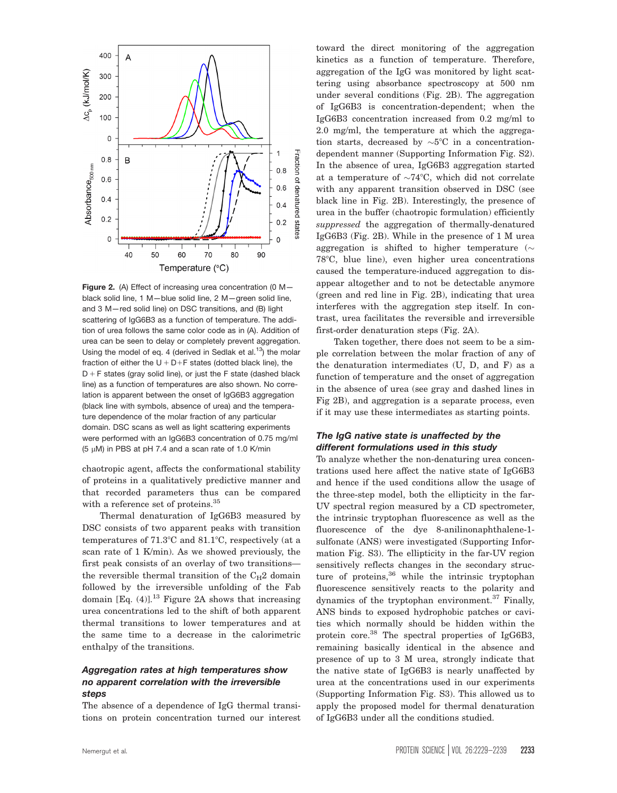

Figure 2. (A) Effect of increasing urea concentration (0 M black solid line, 1 M—blue solid line, 2 M—green solid line, and 3 M—red solid line) on DSC transitions, and (B) light scattering of IgG6B3 as a function of temperature. The addition of urea follows the same color code as in (A). Addition of urea can be seen to delay or completely prevent aggregation. Using the model of eq. 4 (derived in Sedlak et al.<sup>13</sup>) the molar fraction of either the  $U + D + F$  states (dotted black line), the  $D + F$  states (gray solid line), or just the F state (dashed black line) as a function of temperatures are also shown. No correlation is apparent between the onset of IgG6B3 aggregation (black line with symbols, absence of urea) and the temperature dependence of the molar fraction of any particular domain. DSC scans as well as light scattering experiments were performed with an IgG6B3 concentration of 0.75 mg/ml (5  $\mu$ M) in PBS at pH 7.4 and a scan rate of 1.0 K/min

chaotropic agent, affects the conformational stability of proteins in a qualitatively predictive manner and that recorded parameters thus can be compared with a reference set of proteins.<sup>35</sup>

Thermal denaturation of IgG6B3 measured by DSC consists of two apparent peaks with transition temperatures of  $71.3^{\circ}$ C and  $81.1^{\circ}$ C, respectively (at a scan rate of 1 K/min). As we showed previously, the first peak consists of an overlay of two transitions the reversible thermal transition of the  $C_{H2}$  domain followed by the irreversible unfolding of the Fab domain  $[Eq. (4)]$ <sup>13</sup> Figure 2A shows that increasing urea concentrations led to the shift of both apparent thermal transitions to lower temperatures and at the same time to a decrease in the calorimetric enthalpy of the transitions.

## Aggregation rates at high temperatures show no apparent correlation with the irreversible steps

The absence of a dependence of IgG thermal transitions on protein concentration turned our interest toward the direct monitoring of the aggregation kinetics as a function of temperature. Therefore, aggregation of the IgG was monitored by light scattering using absorbance spectroscopy at 500 nm under several conditions (Fig. 2B). The aggregation of IgG6B3 is concentration-dependent; when the IgG6B3 concentration increased from 0.2 mg/ml to 2.0 mg/ml, the temperature at which the aggregation starts, decreased by  $\sim 5^{\circ}$ C in a concentrationdependent manner (Supporting Information Fig. S2). In the absence of urea, IgG6B3 aggregation started at a temperature of  $\sim 74^{\circ}\text{C}$ , which did not correlate with any apparent transition observed in DSC (see black line in Fig. 2B). Interestingly, the presence of urea in the buffer (chaotropic formulation) efficiently suppressed the aggregation of thermally-denatured IgG6B3 (Fig. 2B). While in the presence of 1 M urea aggregation is shifted to higher temperature ( $\sim$ 78°C, blue line), even higher urea concentrations caused the temperature-induced aggregation to disappear altogether and to not be detectable anymore (green and red line in Fig. 2B), indicating that urea interferes with the aggregation step itself. In contrast, urea facilitates the reversible and irreversible first-order denaturation steps (Fig. 2A).

Taken together, there does not seem to be a simple correlation between the molar fraction of any of the denaturation intermediates (U, D, and F) as a function of temperature and the onset of aggregation in the absence of urea (see gray and dashed lines in Fig 2B), and aggregation is a separate process, even if it may use these intermediates as starting points.

## The IgG native state is unaffected by the different formulations used in this study

To analyze whether the non-denaturing urea concentrations used here affect the native state of IgG6B3 and hence if the used conditions allow the usage of the three-step model, both the ellipticity in the far-UV spectral region measured by a CD spectrometer, the intrinsic tryptophan fluorescence as well as the fluorescence of the dye 8-anilinonaphthalene-1 sulfonate (ANS) were investigated (Supporting Information Fig. S3). The ellipticity in the far-UV region sensitively reflects changes in the secondary structure of proteins,<sup>36</sup> while the intrinsic tryptophan fluorescence sensitively reacts to the polarity and dynamics of the tryptophan environment.<sup>37</sup> Finally, ANS binds to exposed hydrophobic patches or cavities which normally should be hidden within the protein core.38 The spectral properties of IgG6B3, remaining basically identical in the absence and presence of up to 3 M urea, strongly indicate that the native state of IgG6B3 is nearly unaffected by urea at the concentrations used in our experiments (Supporting Information Fig. S3). This allowed us to apply the proposed model for thermal denaturation of IgG6B3 under all the conditions studied.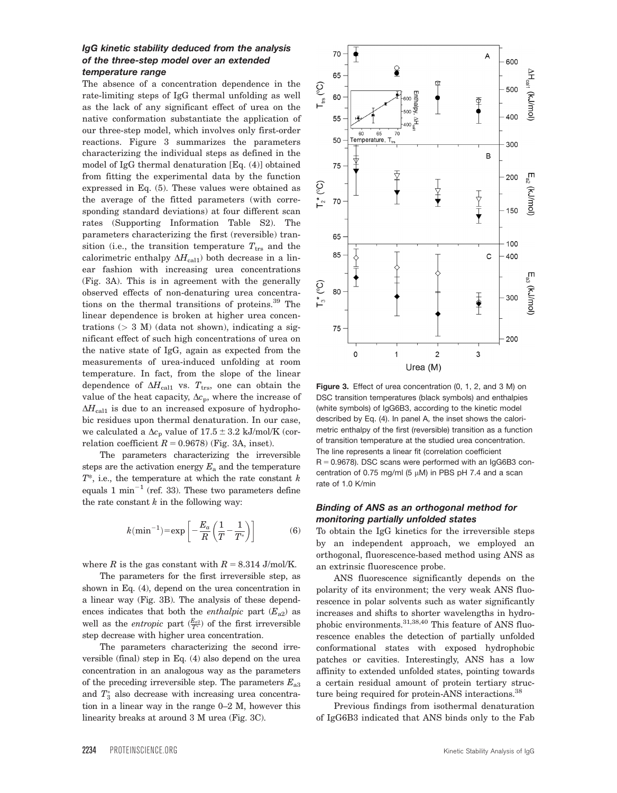## IgG kinetic stability deduced from the analysis of the three-step model over an extended temperature range

The absence of a concentration dependence in the rate-limiting steps of IgG thermal unfolding as well as the lack of any significant effect of urea on the native conformation substantiate the application of our three-step model, which involves only first-order reactions. Figure 3 summarizes the parameters characterizing the individual steps as defined in the model of IgG thermal denaturation [Eq. (4)] obtained from fitting the experimental data by the function expressed in Eq. (5). These values were obtained as the average of the fitted parameters (with corresponding standard deviations) at four different scan rates (Supporting Information Table S2). The parameters characterizing the first (reversible) transition (i.e., the transition temperature  $T_{\text{trs}}$  and the calorimetric enthalpy  $\Delta H_{\text{cal1}}$ ) both decrease in a linear fashion with increasing urea concentrations (Fig. 3A). This is in agreement with the generally observed effects of non-denaturing urea concentrations on the thermal transitions of proteins.<sup>39</sup> The linear dependence is broken at higher urea concentrations  $(> 3 M)$  (data not shown), indicating a significant effect of such high concentrations of urea on the native state of IgG, again as expected from the measurements of urea-induced unfolding at room temperature. In fact, from the slope of the linear dependence of  $\Delta H_{\text{cal1}}$  vs.  $T_{\text{trs}}$ , one can obtain the value of the heat capacity,  $\Delta c_p$ , where the increase of  $\Delta H_{\text{cal1}}$  is due to an increased exposure of hydrophobic residues upon thermal denaturation. In our case, we calculated a  $\Delta c_p$  value of  $17.5 \pm 3.2$  kJ/mol/K (correlation coefficient  $R = 0.9678$  (Fig. 3A, inset).

The parameters characterizing the irreversible steps are the activation energy  $E_a$  and the temperature  $T^*$ , i.e., the temperature at which the rate constant k equals 1 min<sup> $-1$ </sup> (ref. 33). These two parameters define the rate constant  $k$  in the following way:

$$
k(\text{min}^{-1}) = \exp\left[-\frac{E_a}{R}\left(\frac{1}{T} - \frac{1}{T^*}\right)\right] \tag{6}
$$

where R is the gas constant with  $R = 8.314$  J/mol/K.

The parameters for the first irreversible step, as shown in Eq. (4), depend on the urea concentration in a linear way (Fig. 3B). The analysis of these dependences indicates that both the *enthalpic* part  $(E_{a2})$  as well as the *entropic* part  $(\frac{E_{a2}}{T})$  of the first irreversible step decrease with higher urea concentration.

The parameters characterizing the second irreversible (final) step in Eq. (4) also depend on the urea concentration in an analogous way as the parameters of the preceding irreversible step. The parameters  $E_{a3}$ and  $T_3^*$  also decrease with increasing urea concentration in a linear way in the range 0–2 M, however this linearity breaks at around 3 M urea (Fig. 3C).



Figure 3. Effect of urea concentration (0, 1, 2, and 3 M) on DSC transition temperatures (black symbols) and enthalpies (white symbols) of IgG6B3, according to the kinetic model described by Eq. (4). In panel A, the inset shows the calorimetric enthalpy of the first (reversible) transition as a function of transition temperature at the studied urea concentration. The line represents a linear fit (correlation coefficient  $R = 0.9678$ ). DSC scans were performed with an IgG6B3 concentration of 0.75 mg/ml (5  $\mu$ M) in PBS pH 7.4 and a scan rate of 1.0 K/min

## Binding of ANS as an orthogonal method for monitoring partially unfolded states

To obtain the IgG kinetics for the irreversible steps by an independent approach, we employed an orthogonal, fluorescence-based method using ANS as an extrinsic fluorescence probe.

ANS fluorescence significantly depends on the polarity of its environment; the very weak ANS fluorescence in polar solvents such as water significantly increases and shifts to shorter wavelengths in hydrophobic environments.<sup>31,38,40</sup> This feature of ANS fluorescence enables the detection of partially unfolded conformational states with exposed hydrophobic patches or cavities. Interestingly, ANS has a low affinity to extended unfolded states, pointing towards a certain residual amount of protein tertiary structure being required for protein-ANS interactions.<sup>38</sup>

Previous findings from isothermal denaturation of IgG6B3 indicated that ANS binds only to the Fab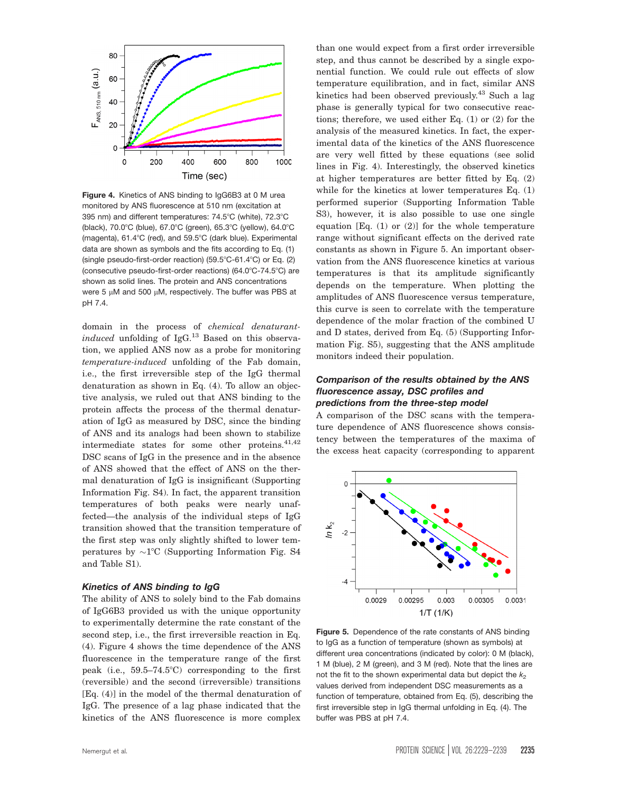

Figure 4. Kinetics of ANS binding to IgG6B3 at 0 M urea monitored by ANS fluorescence at 510 nm (excitation at 395 nm) and different temperatures: 74.5°C (white), 72.3°C (black), 70.0 $\degree$ C (blue), 67.0 $\degree$ C (green), 65.3 $\degree$ C (yellow), 64.0 $\degree$ C (magenta), 61.4°C (red), and 59.5°C (dark blue). Experimental data are shown as symbols and the fits according to Eq. (1) (single pseudo-first-order reaction) (59.5 $^{\circ}$ C-61.4 $^{\circ}$ C) or Eq. (2) (consecutive pseudo-first-order reactions) (64.0 $^{\circ}$ C-74.5 $^{\circ}$ C) are shown as solid lines. The protein and ANS concentrations were 5  $\mu$ M and 500  $\mu$ M, respectively. The buffer was PBS at pH 7.4.

domain in the process of chemical denaturant $induced$  unfolding of IgG.<sup>13</sup> Based on this observation, we applied ANS now as a probe for monitoring temperature-induced unfolding of the Fab domain, i.e., the first irreversible step of the IgG thermal denaturation as shown in Eq. (4). To allow an objective analysis, we ruled out that ANS binding to the protein affects the process of the thermal denaturation of IgG as measured by DSC, since the binding of ANS and its analogs had been shown to stabilize intermediate states for some other proteins. $41,42$ DSC scans of IgG in the presence and in the absence of ANS showed that the effect of ANS on the thermal denaturation of IgG is insignificant (Supporting Information Fig. S4). In fact, the apparent transition temperatures of both peaks were nearly unaffected—the analysis of the individual steps of IgG transition showed that the transition temperature of the first step was only slightly shifted to lower temperatures by  $\sim$ 1°C (Supporting Information Fig. S4 and Table S1).

#### Kinetics of ANS binding to IgG

The ability of ANS to solely bind to the Fab domains of IgG6B3 provided us with the unique opportunity to experimentally determine the rate constant of the second step, i.e., the first irreversible reaction in Eq. (4). Figure 4 shows the time dependence of the ANS fluorescence in the temperature range of the first peak (i.e.,  $59.5-74.5^{\circ}$ C) corresponding to the first (reversible) and the second (irreversible) transitions [Eq. (4)] in the model of the thermal denaturation of IgG. The presence of a lag phase indicated that the kinetics of the ANS fluorescence is more complex

than one would expect from a first order irreversible step, and thus cannot be described by a single exponential function. We could rule out effects of slow temperature equilibration, and in fact, similar ANS kinetics had been observed previously.<sup>43</sup> Such a lag phase is generally typical for two consecutive reactions; therefore, we used either Eq. (1) or (2) for the analysis of the measured kinetics. In fact, the experimental data of the kinetics of the ANS fluorescence are very well fitted by these equations (see solid lines in Fig. 4). Interestingly, the observed kinetics at higher temperatures are better fitted by Eq. (2) while for the kinetics at lower temperatures Eq. (1) performed superior (Supporting Information Table S3), however, it is also possible to use one single equation  $[Eq. (1)$  or  $(2)]$  for the whole temperature range without significant effects on the derived rate constants as shown in Figure 5. An important observation from the ANS fluorescence kinetics at various temperatures is that its amplitude significantly depends on the temperature. When plotting the amplitudes of ANS fluorescence versus temperature, this curve is seen to correlate with the temperature dependence of the molar fraction of the combined U and D states, derived from Eq. (5) (Supporting Information Fig. S5), suggesting that the ANS amplitude monitors indeed their population.

## Comparison of the results obtained by the ANS fluorescence assay, DSC profiles and predictions from the three-step model

A comparison of the DSC scans with the temperature dependence of ANS fluorescence shows consistency between the temperatures of the maxima of the excess heat capacity (corresponding to apparent



Figure 5. Dependence of the rate constants of ANS binding to IgG as a function of temperature (shown as symbols) at different urea concentrations (indicated by color): 0 M (black), 1 M (blue), 2 M (green), and 3 M (red). Note that the lines are not the fit to the shown experimental data but depict the  $k_2$ values derived from independent DSC measurements as a function of temperature, obtained from Eq. (5), describing the first irreversible step in IgG thermal unfolding in Eq. (4). The buffer was PBS at pH 7.4.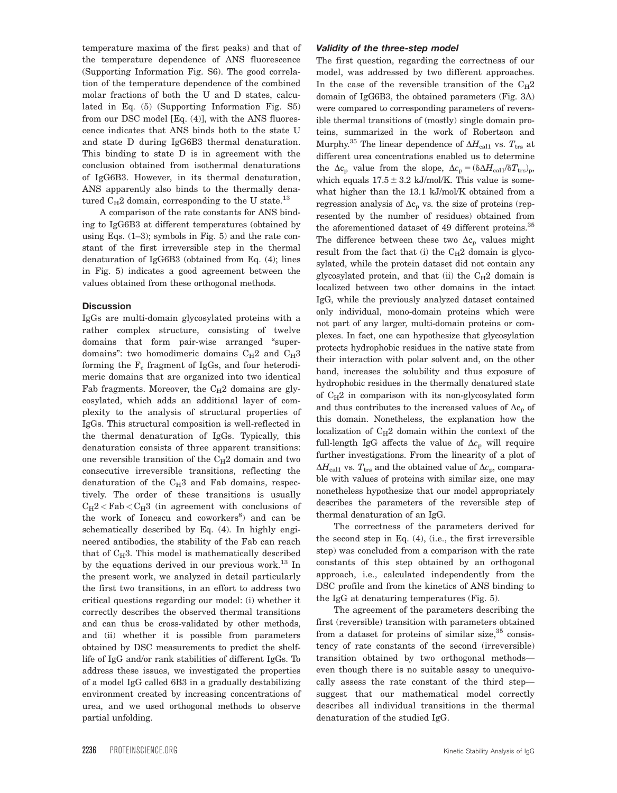temperature maxima of the first peaks) and that of the temperature dependence of ANS fluorescence (Supporting Information Fig. S6). The good correlation of the temperature dependence of the combined molar fractions of both the U and D states, calculated in Eq. (5) (Supporting Information Fig. S5) from our DSC model [Eq. (4)], with the ANS fluorescence indicates that ANS binds both to the state U and state D during IgG6B3 thermal denaturation. This binding to state D is in agreement with the conclusion obtained from isothermal denaturations of IgG6B3. However, in its thermal denaturation, ANS apparently also binds to the thermally denatured  $C_{H2}$  domain, corresponding to the U state.<sup>13</sup>

A comparison of the rate constants for ANS binding to IgG6B3 at different temperatures (obtained by using Eqs.  $(1-3)$ ; symbols in Fig. 5) and the rate constant of the first irreversible step in the thermal denaturation of IgG6B3 (obtained from Eq. (4); lines in Fig. 5) indicates a good agreement between the values obtained from these orthogonal methods.

## **Discussion**

IgGs are multi-domain glycosylated proteins with a rather complex structure, consisting of twelve domains that form pair-wise arranged "superdomains": two homodimeric domains  $C_H2$  and  $C_H3$ forming the  $F_c$  fragment of IgGs, and four heterodimeric domains that are organized into two identical Fab fragments. Moreover, the  $C_H2$  domains are glycosylated, which adds an additional layer of complexity to the analysis of structural properties of IgGs. This structural composition is well-reflected in the thermal denaturation of IgGs. Typically, this denaturation consists of three apparent transitions: one reversible transition of the  $C_H2$  domain and two consecutive irreversible transitions, reflecting the denaturation of the  $C_H3$  and Fab domains, respectively. The order of these transitions is usually  $C_H2 < Fab < C_H3$  (in agreement with conclusions of the work of Ionescu and coworkers<sup>8</sup>) and can be schematically described by Eq. (4). In highly engineered antibodies, the stability of the Fab can reach that of  $C_H3$ . This model is mathematically described by the equations derived in our previous work.<sup>13</sup> In the present work, we analyzed in detail particularly the first two transitions, in an effort to address two critical questions regarding our model: (i) whether it correctly describes the observed thermal transitions and can thus be cross-validated by other methods, and (ii) whether it is possible from parameters obtained by DSC measurements to predict the shelflife of IgG and/or rank stabilities of different IgGs. To address these issues, we investigated the properties of a model IgG called 6B3 in a gradually destabilizing environment created by increasing concentrations of urea, and we used orthogonal methods to observe partial unfolding.

## Validity of the three-step model

The first question, regarding the correctness of our model, was addressed by two different approaches. In the case of the reversible transition of the  $C_{H2}$ domain of IgG6B3, the obtained parameters (Fig. 3A) were compared to corresponding parameters of reversible thermal transitions of (mostly) single domain proteins, summarized in the work of Robertson and Murphy.<sup>35</sup> The linear dependence of  $\Delta H_{\rm{cal1}}$  vs.  $T_{\rm{trs}}$  at different urea concentrations enabled us to determine the  $\Delta c_p$  value from the slope,  $\Delta c_p = (\delta \Delta H_{cal}/\delta T_{\text{trs}})_p$ , which equals  $17.5 \pm 3.2$  kJ/mol/K. This value is somewhat higher than the 13.1 kJ/mol/K obtained from a regression analysis of  $\Delta c_p$  vs. the size of proteins (represented by the number of residues) obtained from the aforementioned dataset of 49 different proteins.<sup>35</sup> The difference between these two  $\Delta c_p$  values might result from the fact that (i) the  $C_{H2}$  domain is glycosylated, while the protein dataset did not contain any glycosylated protein, and that (ii) the  $C_H2$  domain is localized between two other domains in the intact IgG, while the previously analyzed dataset contained only individual, mono-domain proteins which were not part of any larger, multi-domain proteins or complexes. In fact, one can hypothesize that glycosylation protects hydrophobic residues in the native state from their interaction with polar solvent and, on the other hand, increases the solubility and thus exposure of hydrophobic residues in the thermally denatured state of  $C_H2$  in comparison with its non-glycosylated form and thus contributes to the increased values of  $\Delta c_p$  of this domain. Nonetheless, the explanation how the localization of  $C_H2$  domain within the context of the full-length IgG affects the value of  $\Delta c_{\rm p}$  will require further investigations. From the linearity of a plot of  $\Delta H_{\text{cal1}}$  vs.  $T_{\text{trs}}$  and the obtained value of  $\Delta c_{\text{p}}$ , comparable with values of proteins with similar size, one may nonetheless hypothesize that our model appropriately describes the parameters of the reversible step of thermal denaturation of an IgG.

The correctness of the parameters derived for the second step in Eq. (4), (i.e., the first irreversible step) was concluded from a comparison with the rate constants of this step obtained by an orthogonal approach, i.e., calculated independently from the DSC profile and from the kinetics of ANS binding to the IgG at denaturing temperatures (Fig. 5).

The agreement of the parameters describing the first (reversible) transition with parameters obtained from a dataset for proteins of similar size,  $35$  consistency of rate constants of the second (irreversible) transition obtained by two orthogonal methods even though there is no suitable assay to unequivocally assess the rate constant of the third step suggest that our mathematical model correctly describes all individual transitions in the thermal denaturation of the studied IgG.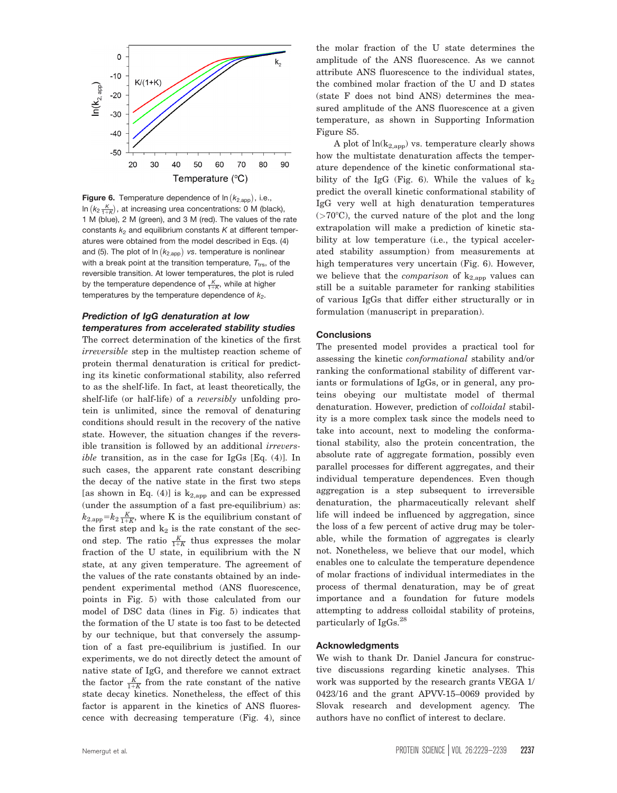

**Figure 6.** Temperature dependence of  $ln (k_{2,app})$ , i.e., In  $(k_2 \frac{K}{1+K})$ , at increasing urea concentrations: 0 M (black), 1 M (blue), 2 M (green), and 3 M (red). The values of the rate constants  $k_2$  and equilibrium constants K at different temperatures were obtained from the model described in Eqs. (4) and (5). The plot of  $\ln (k_{2,app})$  vs. temperature is nonlinear with a break point at the transition temperature,  $T_{\text{trs}}$ , of the reversible transition. At lower temperatures, the plot is ruled by the temperature dependence of  $\frac{K}{1+K}$ , while at higher temperatures by the temperature dependence of  $k_2$ .

## Prediction of IgG denaturation at low temperatures from accelerated stability studies

The correct determination of the kinetics of the first irreversible step in the multistep reaction scheme of protein thermal denaturation is critical for predicting its kinetic conformational stability, also referred to as the shelf-life. In fact, at least theoretically, the shelf-life (or half-life) of a *reversibly* unfolding protein is unlimited, since the removal of denaturing conditions should result in the recovery of the native state. However, the situation changes if the reversible transition is followed by an additional *irrevers*ible transition, as in the case for IgGs [Eq. (4)]. In such cases, the apparent rate constant describing the decay of the native state in the first two steps [as shown in Eq. (4)] is  $k_{2,app}$  and can be expressed (under the assumption of a fast pre-equilibrium) as:  $k_{2,\mathrm{app}}$ = $k_2 \frac{K}{1+K}$ , where K is the equilibrium constant of the first step and  $k_2$  is the rate constant of the second step. The ratio  $\frac{K}{1+K}$  thus expresses the molar fraction of the U state, in equilibrium with the N state, at any given temperature. The agreement of the values of the rate constants obtained by an independent experimental method (ANS fluorescence, points in Fig. 5) with those calculated from our model of DSC data (lines in Fig. 5) indicates that the formation of the U state is too fast to be detected by our technique, but that conversely the assumption of a fast pre-equilibrium is justified. In our experiments, we do not directly detect the amount of native state of IgG, and therefore we cannot extract the factor  $\frac{K}{1+K}$  from the rate constant of the native state decay kinetics. Nonetheless, the effect of this factor is apparent in the kinetics of ANS fluorescence with decreasing temperature (Fig. 4), since

the molar fraction of the U state determines the amplitude of the ANS fluorescence. As we cannot attribute ANS fluorescence to the individual states, the combined molar fraction of the U and D states (state F does not bind ANS) determines the measured amplitude of the ANS fluorescence at a given temperature, as shown in Supporting Information Figure S5.

A plot of  $ln(k_{2,app})$  vs. temperature clearly shows how the multistate denaturation affects the temperature dependence of the kinetic conformational stability of the IgG (Fig. 6). While the values of  $k_2$ predict the overall kinetic conformational stability of IgG very well at high denaturation temperatures  $(>70^{\circ}C)$ , the curved nature of the plot and the long extrapolation will make a prediction of kinetic stability at low temperature (i.e., the typical accelerated stability assumption) from measurements at high temperatures very uncertain (Fig. 6). However, we believe that the *comparison* of  $k_{2,app}$  values can still be a suitable parameter for ranking stabilities of various IgGs that differ either structurally or in formulation (manuscript in preparation).

## **Conclusions**

The presented model provides a practical tool for assessing the kinetic conformational stability and/or ranking the conformational stability of different variants or formulations of IgGs, or in general, any proteins obeying our multistate model of thermal denaturation. However, prediction of *colloidal* stability is a more complex task since the models need to take into account, next to modeling the conformational stability, also the protein concentration, the absolute rate of aggregate formation, possibly even parallel processes for different aggregates, and their individual temperature dependences. Even though aggregation is a step subsequent to irreversible denaturation, the pharmaceutically relevant shelf life will indeed be influenced by aggregation, since the loss of a few percent of active drug may be tolerable, while the formation of aggregates is clearly not. Nonetheless, we believe that our model, which enables one to calculate the temperature dependence of molar fractions of individual intermediates in the process of thermal denaturation, may be of great importance and a foundation for future models attempting to address colloidal stability of proteins, particularly of IgGs.28

## Acknowledgments

We wish to thank Dr. Daniel Jancura for constructive discussions regarding kinetic analyses. This work was supported by the research grants VEGA 1/ 0423/16 and the grant APVV-15–0069 provided by Slovak research and development agency. The authors have no conflict of interest to declare.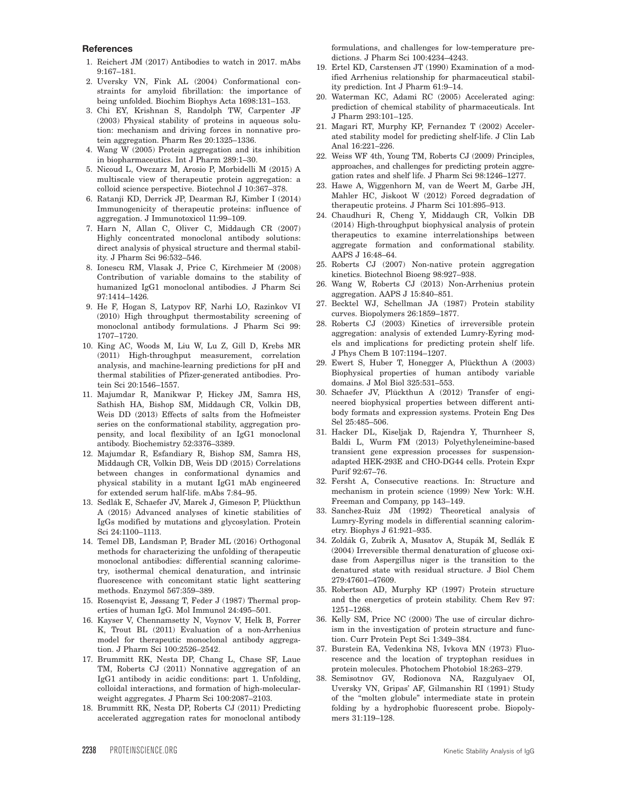#### References

- 1. Reichert JM (2017) Antibodies to watch in 2017. mAbs 9:167–181.
- 2. Uversky VN, Fink AL (2004) Conformational constraints for amyloid fibrillation: the importance of being unfolded. Biochim Biophys Acta 1698:131–153.
- 3. Chi EY, Krishnan S, Randolph TW, Carpenter JF (2003) Physical stability of proteins in aqueous solution: mechanism and driving forces in nonnative protein aggregation. Pharm Res 20:1325–1336.
- 4. Wang W (2005) Protein aggregation and its inhibition in biopharmaceutics. Int J Pharm 289:1–30.
- 5. Nicoud L, Owczarz M, Arosio P, Morbidelli M (2015) A multiscale view of therapeutic protein aggregation: a colloid science perspective. Biotechnol J 10:367–378.
- 6. Ratanji KD, Derrick JP, Dearman RJ, Kimber I (2014) Immunogenicity of therapeutic proteins: influence of aggregation. J Immunotoxicol 11:99–109.
- 7. Harn N, Allan C, Oliver C, Middaugh CR (2007) Highly concentrated monoclonal antibody solutions: direct analysis of physical structure and thermal stability. J Pharm Sci 96:532–546.
- 8. Ionescu RM, Vlasak J, Price C, Kirchmeier M (2008) Contribution of variable domains to the stability of humanized IgG1 monoclonal antibodies. J Pharm Sci 97:1414–1426.
- 9. He F, Hogan S, Latypov RF, Narhi LO, Razinkov VI (2010) High throughput thermostability screening of monoclonal antibody formulations. J Pharm Sci 99: 1707–1720.
- 10. King AC, Woods M, Liu W, Lu Z, Gill D, Krebs MR (2011) High-throughput measurement, correlation analysis, and machine-learning predictions for pH and thermal stabilities of Pfizer-generated antibodies. Protein Sci 20:1546–1557.
- 11. Majumdar R, Manikwar P, Hickey JM, Samra HS, Sathish HA, Bishop SM, Middaugh CR, Volkin DB, Weis DD (2013) Effects of salts from the Hofmeister series on the conformational stability, aggregation propensity, and local flexibility of an IgG1 monoclonal antibody. Biochemistry 52:3376–3389.
- 12. Majumdar R, Esfandiary R, Bishop SM, Samra HS, Middaugh CR, Volkin DB, Weis DD (2015) Correlations between changes in conformational dynamics and physical stability in a mutant IgG1 mAb engineered for extended serum half-life. mAbs 7:84–95.
- 13. Sedlák E, Schaefer JV, Marek J, Gimeson P, Plückthun A (2015) Advanced analyses of kinetic stabilities of IgGs modified by mutations and glycosylation. Protein Sci 24:1100–1113.
- 14. Temel DB, Landsman P, Brader ML (2016) Orthogonal methods for characterizing the unfolding of therapeutic monoclonal antibodies: differential scanning calorimetry, isothermal chemical denaturation, and intrinsic fluorescence with concomitant static light scattering methods. Enzymol 567:359–389.
- 15. Rosenqvist E, Jøssang T, Feder J (1987) Thermal properties of human IgG. Mol Immunol 24:495–501.
- 16. Kayser V, Chennamsetty N, Voynov V, Helk B, Forrer K, Trout BL (2011) Evaluation of a non-Arrhenius model for therapeutic monoclonal antibody aggregation. J Pharm Sci 100:2526–2542.
- 17. Brummitt RK, Nesta DP, Chang L, Chase SF, Laue TM, Roberts CJ (2011) Nonnative aggregation of an IgG1 antibody in acidic conditions: part 1. Unfolding, colloidal interactions, and formation of high-molecularweight aggregates. J Pharm Sci 100:2087–2103.
- 18. Brummitt RK, Nesta DP, Roberts CJ (2011) Predicting accelerated aggregation rates for monoclonal antibody

formulations, and challenges for low-temperature predictions. J Pharm Sci 100:4234–4243.

- 19. Ertel KD, Carstensen JT (1990) Examination of a modified Arrhenius relationship for pharmaceutical stability prediction. Int J Pharm 61:9–14.
- 20. Waterman KC, Adami RC (2005) Accelerated aging: prediction of chemical stability of pharmaceuticals. Int J Pharm 293:101–125.
- 21. Magari RT, Murphy KP, Fernandez T (2002) Accelerated stability model for predicting shelf-life. J Clin Lab Anal 16:221–226.
- 22. Weiss WF 4th, Young TM, Roberts CJ (2009) Principles, approaches, and challenges for predicting protein aggregation rates and shelf life. J Pharm Sci 98:1246–1277.
- 23. Hawe A, Wiggenhorn M, van de Weert M, Garbe JH, Mahler HC, Jiskoot W (2012) Forced degradation of therapeutic proteins. J Pharm Sci 101:895–913.
- 24. Chaudhuri R, Cheng Y, Middaugh CR, Volkin DB (2014) High-throughput biophysical analysis of protein therapeutics to examine interrelationships between aggregate formation and conformational stability. AAPS J 16:48–64.
- 25. Roberts CJ (2007) Non-native protein aggregation kinetics. Biotechnol Bioeng 98:927–938.
- 26. Wang W, Roberts CJ (2013) Non-Arrhenius protein aggregation. AAPS J 15:840–851.
- 27. Becktel WJ, Schellman JA (1987) Protein stability curves. Biopolymers 26:1859–1877.
- 28. Roberts CJ (2003) Kinetics of irreversible protein aggregation: analysis of extended Lumry-Eyring models and implications for predicting protein shelf life. J Phys Chem B 107:1194–1207.
- 29. Ewert S, Huber T, Honegger A, Plückthun A (2003) Biophysical properties of human antibody variable domains. J Mol Biol 325:531–553.
- 30. Schaefer JV, Plückthun A (2012) Transfer of engineered biophysical properties between different antibody formats and expression systems. Protein Eng Des Sel 25:485–506.
- 31. Hacker DL, Kiseljak D, Rajendra Y, Thurnheer S, Baldi L, Wurm FM (2013) Polyethyleneimine-based transient gene expression processes for suspensionadapted HEK-293E and CHO-DG44 cells. Protein Expr Purif 92:67–76.
- 32. Fersht A, Consecutive reactions. In: Structure and mechanism in protein science (1999) New York: W.H. Freeman and Company, pp 143–149.
- 33. Sanchez-Ruiz JM (1992) Theoretical analysis of Lumry-Eyring models in differential scanning calorimetry. Biophys J 61:921–935.
- 34. Zoldák G, Zubrik A, Musatov A, Stupák M, Sedlák E (2004) Irreversible thermal denaturation of glucose oxidase from Aspergillus niger is the transition to the denatured state with residual structure. J Biol Chem 279:47601–47609.
- 35. Robertson AD, Murphy KP (1997) Protein structure and the energetics of protein stability. Chem Rev 97: 1251–1268.
- 36. Kelly SM, Price NC (2000) The use of circular dichroism in the investigation of protein structure and function. Curr Protein Pept Sci 1:349–384.
- 37. Burstein EA, Vedenkina NS, Ivkova MN (1973) Fluorescence and the location of tryptophan residues in protein molecules. Photochem Photobiol 18:263–279.
- 38. Semisotnov GV, Rodionova NA, Razgulyaev OI, Uversky VN, Gripas' AF, Gilmanshin RI (1991) Study of the "molten globule" intermediate state in protein folding by a hydrophobic fluorescent probe. Biopolymers 31:119–128.